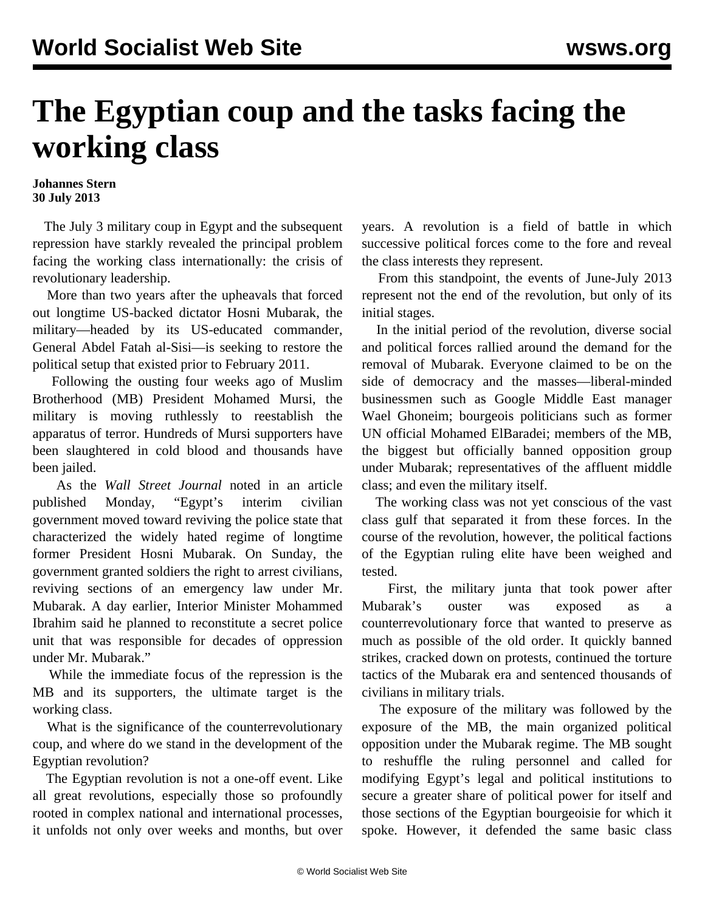## **The Egyptian coup and the tasks facing the working class**

## **Johannes Stern 30 July 2013**

 The July 3 military coup in Egypt and the subsequent repression have starkly revealed the principal problem facing the working class internationally: the crisis of revolutionary leadership.

 More than two years after the upheavals that forced out longtime US-backed dictator Hosni Mubarak, the military—headed by its US-educated commander, General Abdel Fatah al-Sisi—is seeking to restore the political setup that existed prior to February 2011.

 Following the ousting four weeks ago of Muslim Brotherhood (MB) President Mohamed Mursi, the military is moving ruthlessly to reestablish the apparatus of terror. Hundreds of Mursi supporters have been slaughtered in cold blood and thousands have been jailed.

 As the *Wall Street Journal* noted in an article published Monday, "Egypt's interim civilian government moved toward reviving the police state that characterized the widely hated regime of longtime former President Hosni Mubarak. On Sunday, the government granted soldiers the right to arrest civilians, reviving sections of an emergency law under Mr. Mubarak. A day earlier, Interior Minister Mohammed Ibrahim said he planned to reconstitute a secret police unit that was responsible for decades of oppression under Mr. Mubarak."

 While the immediate focus of the repression is the MB and its supporters, the ultimate target is the working class.

 What is the significance of the counterrevolutionary coup, and where do we stand in the development of the Egyptian revolution?

 The Egyptian revolution is not a one-off event. Like all great revolutions, especially those so profoundly rooted in complex national and international processes, it unfolds not only over weeks and months, but over years. A revolution is a field of battle in which successive political forces come to the fore and reveal the class interests they represent.

 From this standpoint, the events of June-July 2013 represent not the end of the revolution, but only of its initial stages.

 In the initial period of the revolution, diverse social and political forces rallied around the demand for the removal of Mubarak. Everyone claimed to be on the side of democracy and the masses—liberal-minded businessmen such as Google Middle East manager Wael Ghoneim; bourgeois politicians such as former UN official Mohamed ElBaradei; members of the MB, the biggest but officially banned opposition group under Mubarak; representatives of the affluent middle class; and even the military itself.

 The working class was not yet conscious of the vast class gulf that separated it from these forces. In the course of the revolution, however, the political factions of the Egyptian ruling elite have been weighed and tested.

 First, the military junta that took power after Mubarak's ouster was exposed as a counterrevolutionary force that wanted to preserve as much as possible of the old order. It quickly banned strikes, cracked down on protests, continued the torture tactics of the Mubarak era and sentenced thousands of civilians in military trials.

 The exposure of the military was followed by the exposure of the MB, the main organized political opposition under the Mubarak regime. The MB sought to reshuffle the ruling personnel and called for modifying Egypt's legal and political institutions to secure a greater share of political power for itself and those sections of the Egyptian bourgeoisie for which it spoke. However, it defended the same basic class